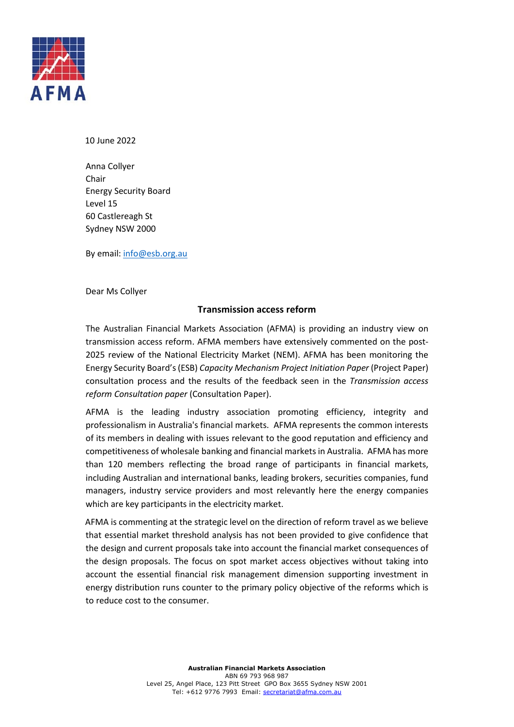

10 June 2022

Anna Collyer Chair Energy Security Board Level 15 60 Castlereagh St Sydney NSW 2000

By email[: info@esb.org.au](mailto:info@esb.org.au)

Dear Ms Collyer

## **Transmission access reform**

The Australian Financial Markets Association (AFMA) is providing an industry view on transmission access reform. AFMA members have extensively commented on the post-2025 review of the National Electricity Market (NEM). AFMA has been monitoring the Energy Security Board's (ESB) *Capacity Mechanism Project Initiation Paper* (Project Paper) consultation process and the results of the feedback seen in the *Transmission access reform Consultation paper* (Consultation Paper).

AFMA is the leading industry association promoting efficiency, integrity and professionalism in Australia's financial markets. AFMA represents the common interests of its members in dealing with issues relevant to the good reputation and efficiency and competitiveness of wholesale banking and financial markets in Australia. AFMA has more than 120 members reflecting the broad range of participants in financial markets, including Australian and international banks, leading brokers, securities companies, fund managers, industry service providers and most relevantly here the energy companies which are key participants in the electricity market.

AFMA is commenting at the strategic level on the direction of reform travel as we believe that essential market threshold analysis has not been provided to give confidence that the design and current proposals take into account the financial market consequences of the design proposals. The focus on spot market access objectives without taking into account the essential financial risk management dimension supporting investment in energy distribution runs counter to the primary policy objective of the reforms which is to reduce cost to the consumer.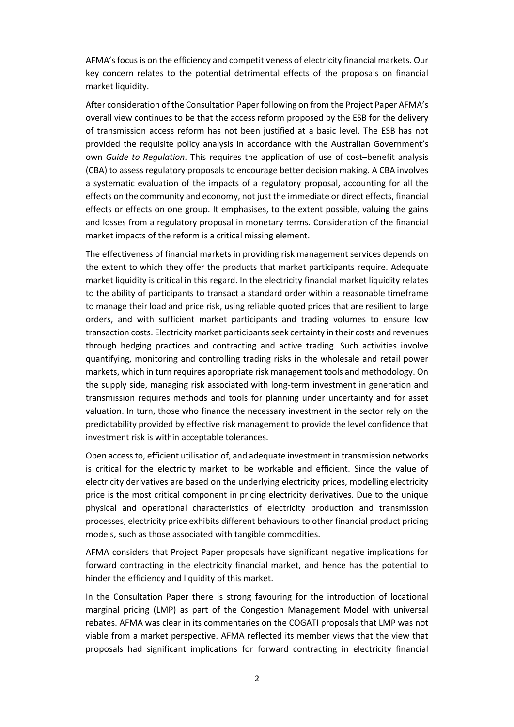AFMA's focus is on the efficiency and competitiveness of electricity financial markets. Our key concern relates to the potential detrimental effects of the proposals on financial market liquidity.

After consideration of the Consultation Paper following on from the Project Paper AFMA's overall view continues to be that the access reform proposed by the ESB for the delivery of transmission access reform has not been justified at a basic level. The ESB has not provided the requisite policy analysis in accordance with the Australian Government's own *Guide to Regulation*. This requires the application of use of cost–benefit analysis (CBA) to assess regulatory proposals to encourage better decision making. A CBA involves a systematic evaluation of the impacts of a regulatory proposal, accounting for all the effects on the community and economy, not just the immediate or direct effects, financial effects or effects on one group. It emphasises, to the extent possible, valuing the gains and losses from a regulatory proposal in monetary terms. Consideration of the financial market impacts of the reform is a critical missing element.

The effectiveness of financial markets in providing risk management services depends on the extent to which they offer the products that market participants require. Adequate market liquidity is critical in this regard. In the electricity financial market liquidity relates to the ability of participants to transact a standard order within a reasonable timeframe to manage their load and price risk, using reliable quoted prices that are resilient to large orders, and with sufficient market participants and trading volumes to ensure low transaction costs. Electricity market participants seek certainty in their costs and revenues through hedging practices and contracting and active trading. Such activities involve quantifying, monitoring and controlling trading risks in the wholesale and retail power markets, which in turn requires appropriate risk management tools and methodology. On the supply side, managing risk associated with long-term investment in generation and transmission requires methods and tools for planning under uncertainty and for asset valuation. In turn, those who finance the necessary investment in the sector rely on the predictability provided by effective risk management to provide the level confidence that investment risk is within acceptable tolerances.

Open access to, efficient utilisation of, and adequate investment in transmission networks is critical for the electricity market to be workable and efficient. Since the value of electricity derivatives are based on the underlying electricity prices, modelling electricity price is the most critical component in pricing electricity derivatives. Due to the unique physical and operational characteristics of electricity production and transmission processes, electricity price exhibits different behaviours to other financial product pricing models, such as those associated with tangible commodities.

AFMA considers that Project Paper proposals have significant negative implications for forward contracting in the electricity financial market, and hence has the potential to hinder the efficiency and liquidity of this market.

In the Consultation Paper there is strong favouring for the introduction of locational marginal pricing (LMP) as part of the Congestion Management Model with universal rebates. AFMA was clear in its commentaries on the COGATI proposals that LMP was not viable from a market perspective. AFMA reflected its member views that the view that proposals had significant implications for forward contracting in electricity financial